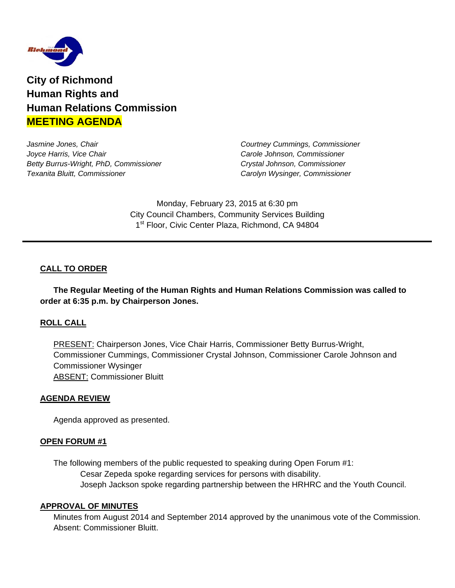

**City of Richmond Human Rights and Human Relations Commission MEETING AGENDA**

*Jasmine Jones, Chair Courtney Cummings, Commissioner Joyce Harris, Vice Chair Carole Johnson, Commissioner Betty Burrus-Wright, PhD, Commissioner Crystal Johnson, Commissioner Texanita Bluitt, Commissioner Carolyn Wysinger, Commissioner* 

Monday, February 23, 2015 at 6:30 pm City Council Chambers, Community Services Building 1<sup>st</sup> Floor, Civic Center Plaza, Richmond, CA 94804

# **CALL TO ORDER**

 **The Regular Meeting of the Human Rights and Human Relations Commission was called to order at 6:35 p.m. by Chairperson Jones.** 

# **ROLL CALL**

PRESENT: Chairperson Jones, Vice Chair Harris, Commissioner Betty Burrus-Wright, Commissioner Cummings, Commissioner Crystal Johnson, Commissioner Carole Johnson and Commissioner Wysinger ABSENT: Commissioner Bluitt

### **AGENDA REVIEW**

Agenda approved as presented.

### **OPEN FORUM #1**

 The following members of the public requested to speaking during Open Forum #1: Cesar Zepeda spoke regarding services for persons with disability. Joseph Jackson spoke regarding partnership between the HRHRC and the Youth Council.

#### **APPROVAL OF MINUTES**

Minutes from August 2014 and September 2014 approved by the unanimous vote of the Commission. Absent: Commissioner Bluitt.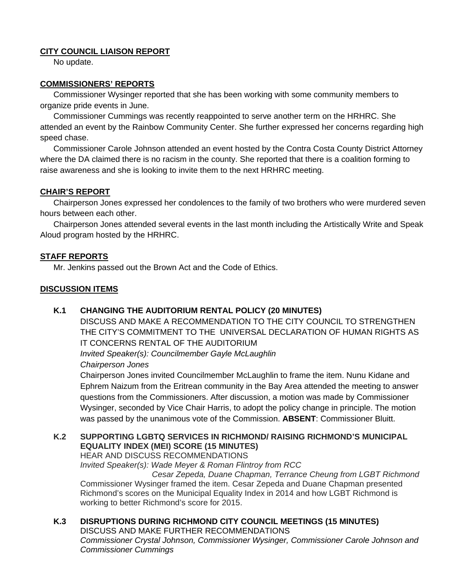# **CITY COUNCIL LIAISON REPORT**

No update.

## **COMMISSIONERS' REPORTS**

 Commissioner Wysinger reported that she has been working with some community members to organize pride events in June.

 Commissioner Cummings was recently reappointed to serve another term on the HRHRC. She attended an event by the Rainbow Community Center. She further expressed her concerns regarding high speed chase.

 Commissioner Carole Johnson attended an event hosted by the Contra Costa County District Attorney where the DA claimed there is no racism in the county. She reported that there is a coalition forming to raise awareness and she is looking to invite them to the next HRHRC meeting.

## **CHAIR'S REPORT**

 Chairperson Jones expressed her condolences to the family of two brothers who were murdered seven hours between each other.

 Chairperson Jones attended several events in the last month including the Artistically Write and Speak Aloud program hosted by the HRHRC.

## **STAFF REPORTS**

Mr. Jenkins passed out the Brown Act and the Code of Ethics.

## **DISCUSSION ITEMS**

### **K.1 CHANGING THE AUDITORIUM RENTAL POLICY (20 MINUTES)**

DISCUSS AND MAKE A RECOMMENDATION TO THE CITY COUNCIL TO STRENGTHEN THE CITY'S COMMITMENT TO THE UNIVERSAL DECLARATION OF HUMAN RIGHTS AS IT CONCERNS RENTAL OF THE AUDITORIUM

*Invited Speaker(s): Councilmember Gayle McLaughlin Chairperson Jones* 

Chairperson Jones invited Councilmember McLaughlin to frame the item. Nunu Kidane and Ephrem Naizum from the Eritrean community in the Bay Area attended the meeting to answer questions from the Commissioners. After discussion, a motion was made by Commissioner Wysinger, seconded by Vice Chair Harris, to adopt the policy change in principle. The motion was passed by the unanimous vote of the Commission. **ABSENT**: Commissioner Bluitt.

### **K.2 SUPPORTING LGBTQ SERVICES IN RICHMOND/ RAISING RICHMOND'S MUNICIPAL EQUALITY INDEX (MEI) SCORE (15 MINUTES)**

HEAR AND DISCUSS RECOMMENDATIONS

*Invited Speaker(s): Wade Meyer & Roman Flintroy from RCC* 

 *Cesar Zepeda, Duane Chapman, Terrance Cheung from LGBT Richmond*  Commissioner Wysinger framed the item. Cesar Zepeda and Duane Chapman presented Richmond's scores on the Municipal Equality Index in 2014 and how LGBT Richmond is working to better Richmond's score for 2015.

#### **K.3 DISRUPTIONS DURING RICHMOND CITY COUNCIL MEETINGS (15 MINUTES)**  DISCUSS AND MAKE FURTHER RECOMMENDATIONS *Commissioner Crystal Johnson, Commissioner Wysinger, Commissioner Carole Johnson and Commissioner Cummings*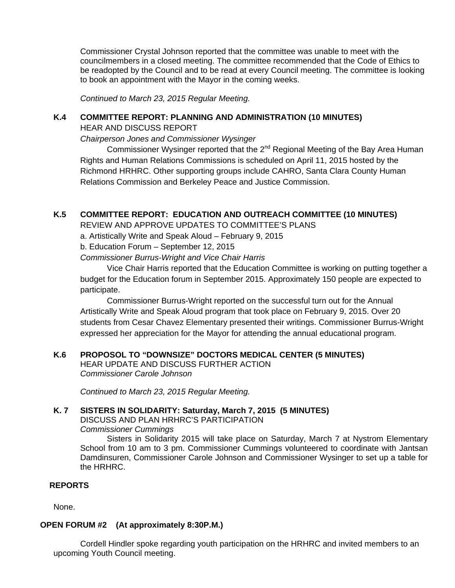Commissioner Crystal Johnson reported that the committee was unable to meet with the councilmembers in a closed meeting. The committee recommended that the Code of Ethics to be readopted by the Council and to be read at every Council meeting. The committee is looking to book an appointment with the Mayor in the coming weeks.

*Continued to March 23, 2015 Regular Meeting.* 

## **K.4 COMMITTEE REPORT: PLANNING AND ADMINISTRATION (10 MINUTES)**

HEAR AND DISCUSS REPORT

*Chairperson Jones and Commissioner Wysinger* 

Commissioner Wysinger reported that the 2<sup>nd</sup> Regional Meeting of the Bay Area Human Rights and Human Relations Commissions is scheduled on April 11, 2015 hosted by the Richmond HRHRC. Other supporting groups include CAHRO, Santa Clara County Human Relations Commission and Berkeley Peace and Justice Commission.

# **K.5 COMMITTEE REPORT: EDUCATION AND OUTREACH COMMITTEE (10 MINUTES)**

REVIEW AND APPROVE UPDATES TO COMMITTEE'S PLANS

a. Artistically Write and Speak Aloud – February 9, 2015

b. Education Forum – September 12, 2015

*Commissioner Burrus-Wright and Vice Chair Harris* 

Vice Chair Harris reported that the Education Committee is working on putting together a budget for the Education forum in September 2015. Approximately 150 people are expected to participate.

 Commissioner Burrus-Wright reported on the successful turn out for the Annual Artistically Write and Speak Aloud program that took place on February 9, 2015. Over 20 students from Cesar Chavez Elementary presented their writings. Commissioner Burrus-Wright expressed her appreciation for the Mayor for attending the annual educational program.

# **K.6 PROPOSOL TO "DOWNSIZE" DOCTORS MEDICAL CENTER (5 MINUTES)**

HEAR UPDATE AND DISCUSS FURTHER ACTION *Commissioner Carole Johnson* 

*Continued to March 23, 2015 Regular Meeting.* 

# **K. 7 SISTERS IN SOLIDARITY: Saturday, March 7, 2015 (5 MINUTES)**

DISCUSS AND PLAN HRHRC'S PARTICIPATION

*Commissioner Cummings* 

Sisters in Solidarity 2015 will take place on Saturday, March 7 at Nystrom Elementary School from 10 am to 3 pm. Commissioner Cummings volunteered to coordinate with Jantsan Damdinsuren, Commissioner Carole Johnson and Commissioner Wysinger to set up a table for the HRHRC.

## **REPORTS**

None.

# **OPEN FORUM #2 (At approximately 8:30P.M.)**

 Cordell Hindler spoke regarding youth participation on the HRHRC and invited members to an upcoming Youth Council meeting.